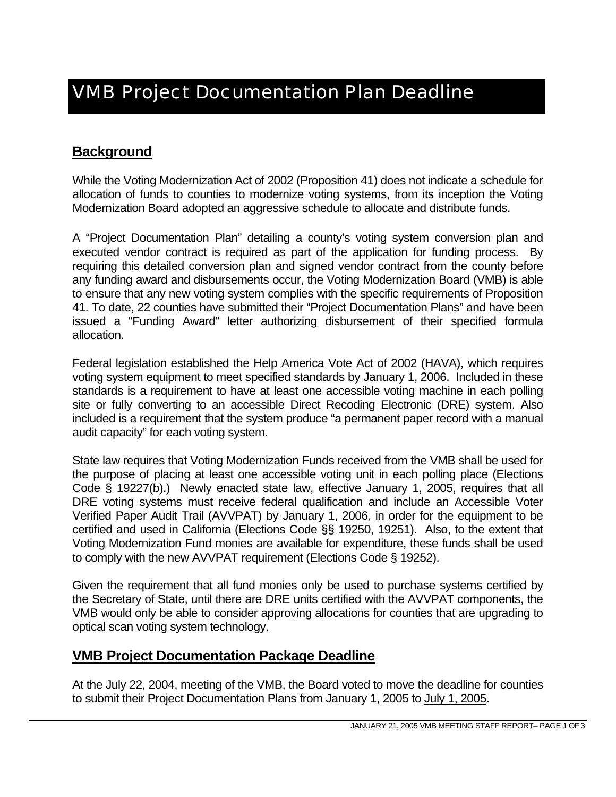# **Background**

While the Voting Modernization Act of 2002 (Proposition 41) does not indicate a schedule for allocation of funds to counties to modernize voting systems, from its inception the Voting Modernization Board adopted an aggressive schedule to allocate and distribute funds.

A "Project Documentation Plan" detailing a county's voting system conversion plan and executed vendor contract is required as part of the application for funding process. By requiring this detailed conversion plan and signed vendor contract from the county before any funding award and disbursements occur, the Voting Modernization Board (VMB) is able to ensure that any new voting system complies with the specific requirements of Proposition 41. To date, 22 counties have submitted their "Project Documentation Plans" and have been issued a "Funding Award" letter authorizing disbursement of their specified formula allocation.

Federal legislation established the Help America Vote Act of 2002 (HAVA), which requires voting system equipment to meet specified standards by January 1, 2006. Included in these standards is a requirement to have at least one accessible voting machine in each polling site or fully converting to an accessible Direct Recoding Electronic (DRE) system. Also included is a requirement that the system produce "a permanent paper record with a manual audit capacity" for each voting system.

State law requires that Voting Modernization Funds received from the VMB shall be used for the purpose of placing at least one accessible voting unit in each polling place (Elections Code § 19227(b).) Newly enacted state law, effective January 1, 2005, requires that all DRE voting systems must receive federal qualification and include an Accessible Voter Verified Paper Audit Trail (AVVPAT) by January 1, 2006, in order for the equipment to be certified and used in California (Elections Code §§ 19250, 19251). Also, to the extent that Voting Modernization Fund monies are available for expenditure, these funds shall be used to comply with the new AVVPAT requirement (Elections Code § 19252).

Given the requirement that all fund monies only be used to purchase systems certified by the Secretary of State, until there are DRE units certified with the AVVPAT components, the VMB would only be able to consider approving allocations for counties that are upgrading to optical scan voting system technology.

### **VMB Project Documentation Package Deadline**

At the July 22, 2004, meeting of the VMB, the Board voted to move the deadline for counties to submit their Project Documentation Plans from January 1, 2005 to July 1, 2005.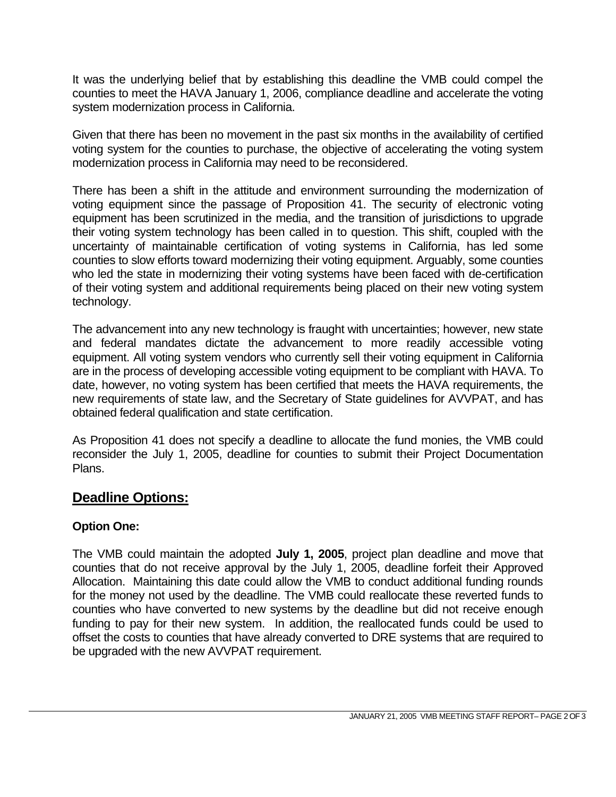It was the underlying belief that by establishing this deadline the VMB could compel the counties to meet the HAVA January 1, 2006, compliance deadline and accelerate the voting system modernization process in California.

Given that there has been no movement in the past six months in the availability of certified voting system for the counties to purchase, the objective of accelerating the voting system modernization process in California may need to be reconsidered.

There has been a shift in the attitude and environment surrounding the modernization of voting equipment since the passage of Proposition 41. The security of electronic voting equipment has been scrutinized in the media, and the transition of jurisdictions to upgrade their voting system technology has been called in to question. This shift, coupled with the uncertainty of maintainable certification of voting systems in California, has led some counties to slow efforts toward modernizing their voting equipment. Arguably, some counties who led the state in modernizing their voting systems have been faced with de-certification of their voting system and additional requirements being placed on their new voting system technology.

The advancement into any new technology is fraught with uncertainties; however, new state and federal mandates dictate the advancement to more readily accessible voting equipment. All voting system vendors who currently sell their voting equipment in California are in the process of developing accessible voting equipment to be compliant with HAVA. To date, however, no voting system has been certified that meets the HAVA requirements, the new requirements of state law, and the Secretary of State guidelines for AVVPAT, and has obtained federal qualification and state certification.

As Proposition 41 does not specify a deadline to allocate the fund monies, the VMB could reconsider the July 1, 2005, deadline for counties to submit their Project Documentation Plans.

## **Deadline Options:**

### **Option One:**

The VMB could maintain the adopted **July 1, 2005**, project plan deadline and move that counties that do not receive approval by the July 1, 2005, deadline forfeit their Approved Allocation. Maintaining this date could allow the VMB to conduct additional funding rounds for the money not used by the deadline. The VMB could reallocate these reverted funds to counties who have converted to new systems by the deadline but did not receive enough funding to pay for their new system. In addition, the reallocated funds could be used to offset the costs to counties that have already converted to DRE systems that are required to be upgraded with the new AVVPAT requirement.